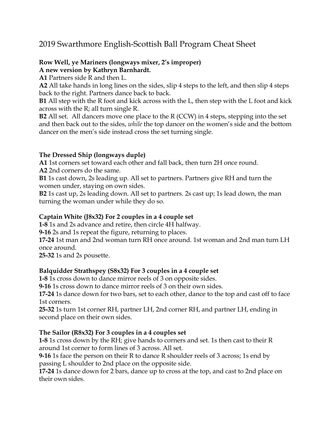# 2019 Swarthmore English-Scottish Ball Program Cheat Sheet

# **Row Well, ye Mariners (longways mixer, 2's improper)**

**A new version by Kathryn Barnhardt.**

**A1** Partners side R and then L.

**A2** All take hands in long lines on the sides, slip 4 steps to the left, and then slip 4 steps back to the right. Partners dance back to back.

**B1** All step with the R foot and kick across with the L, then step with the L foot and kick across with the R; all turn single R.

**B2** All set. All dancers move one place to the R (CCW) in 4 steps, stepping into the set and then back out to the sides, *while* the top dancer on the women's side and the bottom dancer on the men's side instead cross the set turning single.

# **The Dressed Ship (longways duple)**

**A1** 1st corners set toward each other and fall back, then turn 2H once round. **A2** 2nd corners do the same.

**B1** 1s cast down, 2s leading up. All set to partners. Partners give RH and turn the women under, staying on own sides.

**B2** 1s cast up, 2s leading down. All set to partners. 2s cast up; 1s lead down, the man turning the woman under while they do so.

# **Captain White (J8x32) For 2 couples in a 4 couple set**

**1-8** 1s and 2s advance and retire, then circle 4H halfway.

**9-16** 2s and 1s repeat the figure, returning to places.

**17-24** 1st man and 2nd woman turn RH once around. 1st woman and 2nd man turn LH once around.

**25-32** 1s and 2s pousette.

# **Balquidder Strathspey (S8x32) For 3 couples in a 4 couple set**

**1-8** 1s cross down to dance mirror reels of 3 on opposite sides.

**9-16** 1s cross down to dance mirror reels of 3 on their own sides.

**17-24** 1s dance down for two bars, set to each other, dance to the top and cast off to face 1st corners.

**25-32** 1s turn 1st corner RH, partner LH, 2nd corner RH, and partner LH, ending in second place on their own sides.

# **The Sailor (R8x32) For 3 couples in a 4 couples set**

**1-8** 1s cross down by the RH; give hands to corners and set. 1s then cast to their R around 1st corner to form lines of 3 across. All set.

**9-16** 1s face the person on their R to dance R shoulder reels of 3 across; 1s end by passing L shoulder to 2nd place on the opposite side.

**17-24** 1s dance down for 2 bars, dance up to cross at the top, and cast to 2nd place on their own sides.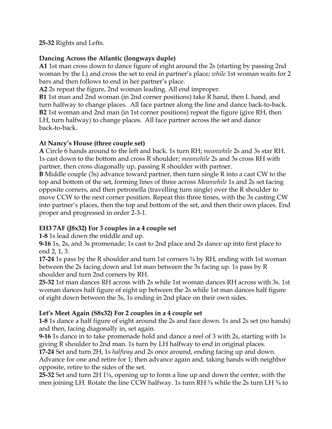**25-32** Rights and Lefts.

#### **Dancing Across the Atlantic (longways duple)**

**A1** 1st man cross down to dance figure of eight around the 2s (starting by passing 2nd woman by the L) and cross the set to end in partner's place; *while* 1st woman waits for 2 bars and then follows to end in her partner's place.

**A2** 2s repeat the figure, 2nd woman leading. All end improper.

**B1** 1st man and 2nd woman (in 2nd corner positions) take R hand, then L hand, and turn halfway to change places. All face partner along the line and dance back-to-back. **B2** 1st woman and 2nd man (in 1st corner positions) repeat the figure (give RH, then LH, turn halfway) to change places. All face partner across the set and dance back-to-back.

#### **At Nancy's House (three couple set)**

**A** Circle 6 hands around to the left and back. 1s turn RH; *meanwhile* 2s and 3s star RH. 1s cast down to the bottom and cross R shoulder; *meanwhile* 2s and 3s cross RH with partner, then cross diagonally up, passing R shoulder with partner.

**B** Middle couple (3s) advance toward partner, then turn single R into a cast CW to the top and bottom of the set, forming lines of three across *Meanwhile* 1s and 2s set facing opposite corners, and then petronella (travelling turn single) over the R shoulder to move CCW to the next corner position. Repeat this three times, with the 3s casting CW into partner's places, then the top and bottom of the set, and then their own places. End proper and progressed in order 2-3-1.

# **EH3 7AF (J8x32) For 3 couples in a 4 couple set**

**1-8** 1s lead down the middle and up.

**9-16** 1s, 2s, and 3s promenade; 1s cast to 2nd place and 2s dance up into first place to end 2, 1, 3.

**17-24** 1s pass by the R shoulder and turn 1st corners ¾ by RH, ending with 1st woman between the 2s facing down and 1st man between the 3s facing up. 1s pass by R shoulder and turn 2nd corners by RH.

**25-32** 1st man dances RH across with 2s while 1st woman dances RH across with 3s. 1st woman dances half figure of eight up between the 2s while 1st man dances half figure of eight down between the 3s, 1s ending in 2nd place on their own sides.

# **Let's Meet Again (S8x32) For 2 couples in a 4 couple set**

**1-8** 1s dance a half figure of eight around the 2s and face down. 1s and 2s set (no hands) and then, facing diagonally in, set again.

**9-16** 1s dance in to take promenade hold and dance a reel of 3 with 2s, starting with 1s giving R shoulder to 2nd man. 1s turn by LH halfway to end in original places.

**17-24** Set and turn 2H, 1s *halfway* and 2s once around, ending facing up and down. Advance for one and retire for 1; then advance again and, taking hands with neighbor opposite, retire to the sides of the set.

**25-32** Set and turn 2H 1¼, opening up to form a line up and down the center, with the men joining LH. Rotate the line CCW halfway. 1s turn RH  $\frac{3}{4}$  while the 2s turn LH  $\frac{3}{4}$  to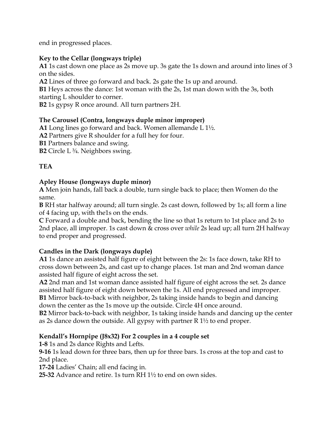end in progressed places.

#### **Key to the Cellar (longways triple)**

**A1** 1s cast down one place as 2s move up. 3s gate the 1s down and around into lines of 3 on the sides.

**A2** Lines of three go forward and back. 2s gate the 1s up and around.

**B1** Heys across the dance: 1st woman with the 2s, 1st man down with the 3s, both starting L shoulder to corner.

**B2** 1s gypsy R once around. All turn partners 2H.

#### **The Carousel (Contra, longways duple minor improper)**

**A1** Long lines go forward and back. Women allemande L 1½.

**A2** Partners give R shoulder for a full hey for four.

**B1** Partners balance and swing.

**B2** Circle L ¾. Neighbors swing.

# **TEA**

#### **Apley House (longways duple minor)**

**A** Men join hands, fall back a double, turn single back to place; then Women do the same.

**B** RH star halfway around; all turn single. 2s cast down, followed by 1s; all form a line of 4 facing up, with the1s on the ends.

**C** Forward a double and back, bending the line so that 1s return to 1st place and 2s to 2nd place, all improper. 1s cast down & cross over *while* 2s lead up; all turn 2H halfway to end proper and progressed.

# **Candles in the Dark (longways duple)**

**A1** 1s dance an assisted half figure of eight between the 2s: 1s face down, take RH to cross down between 2s, and cast up to change places. 1st man and 2nd woman dance assisted half figure of eight across the set.

**A2** 2nd man and 1st woman dance assisted half figure of eight across the set. 2s dance assisted half figure of eight down between the 1s. All end progressed and improper. **B1** Mirror back-to-back with neighbor, 2s taking inside hands to begin and dancing down the center as the 1s move up the outside. Circle 4H once around.

**B2** Mirror back-to-back with neighbor, 1s taking inside hands and dancing up the center as 2s dance down the outside. All gypsy with partner R 1½ to end proper.

#### **Kendall's Hornpipe (J8x32) For 2 couples in a 4 couple set**

**1-8** 1s and 2s dance Rights and Lefts.

**9-16** 1s lead down for three bars, then up for three bars. 1s cross at the top and cast to 2nd place.

**17-24** Ladies' Chain; all end facing in.

**25-32** Advance and retire. 1s turn RH 1½ to end on own sides.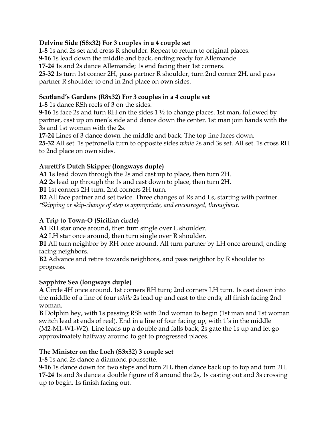#### **Delvine Side (S8x32) For 3 couples in a 4 couple set**

**1-8** 1s and 2s set and cross R shoulder. Repeat to return to original places. **9-16** 1s lead down the middle and back, ending ready for Allemande **17-24** 1s and 2s dance Allemande; 1s end facing their 1st corners. **25-32** 1s turn 1st corner 2H, pass partner R shoulder, turn 2nd corner 2H, and pass partner R shoulder to end in 2nd place on own sides.

#### **Scotland's Gardens (R8x32) For 3 couples in a 4 couple set**

**1-8** 1s dance RSh reels of 3 on the sides.

**9-16** 1s face 2s and turn RH on the sides 1 ½ to change places. 1st man, followed by partner, cast up on men's side and dance down the center. 1st man join hands with the 3s and 1st woman with the 2s.

**17-24** Lines of 3 dance down the middle and back. The top line faces down. **25-32** All set. 1s petronella turn to opposite sides *while* 2s and 3s set. All set. 1s cross RH to 2nd place on own sides.

# **Auretti's Dutch Skipper (longways duple)**

**A1** 1s lead down through the 2s and cast up to place, then turn 2H.

**A2** 2s lead up through the 1s and cast down to place, then turn 2H.

**B1** 1st corners 2H turn. 2nd corners 2H turn.

**B2** All face partner and set twice. Three changes of Rs and Ls, starting with partner. *\*Skipping or skip-change of step is appropriate, and encouraged, throughout.*

# **A Trip to Town-O (Sicilian circle)**

**A1** RH star once around, then turn single over L shoulder.

**A2** LH star once around, then turn single over R shoulder.

**B1** All turn neighbor by RH once around. All turn partner by LH once around, ending facing neighbors.

**B2** Advance and retire towards neighbors, and pass neighbor by R shoulder to progress.

# **Sapphire Sea (longways duple)**

**A** Circle 4H once around. 1st corners RH turn; 2nd corners LH turn. 1s cast down into the middle of a line of four *while* 2s lead up and cast to the ends; all finish facing 2nd woman.

**B** Dolphin hey, with 1s passing RSh with 2nd woman to begin (1st man and 1st woman switch lead at ends of reel). End in a line of four facing up, with 1's in the middle (M2-M1-W1-W2). Line leads up a double and falls back; 2s gate the 1s up and let go approximately halfway around to get to progressed places.

# **The Minister on the Loch (S3x32) 3 couple set**

**1-8** 1s and 2s dance a diamond poussette.

**9-16** 1s dance down for two steps and turn 2H, then dance back up to top and turn 2H. **17-24** 1s and 3s dance a double figure of 8 around the 2s, 1s casting out and 3s crossing up to begin. 1s finish facing out.